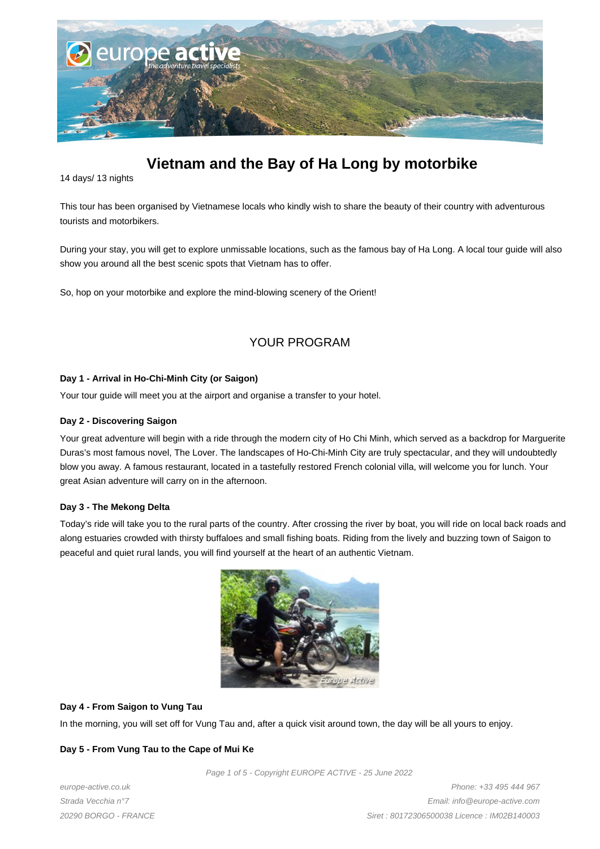

# **Vietnam and the Bay of Ha Long by motorbike**

14 days/ 13 nights

This tour has been organised by Vietnamese locals who kindly wish to share the beauty of their country with adventurous tourists and motorbikers.

During your stay, you will get to explore unmissable locations, such as the famous bay of Ha Long. A local tour guide will also show you around all the best scenic spots that Vietnam has to offer.

So, hop on your motorbike and explore the mind-blowing scenery of the Orient!

# YOUR PROGRAM

# **Day 1 - Arrival in Ho-Chi-Minh City (or Saigon)**

Your tour guide will meet you at the airport and organise a transfer to your hotel.

# **Day 2 - Discovering Saigon**

Your great adventure will begin with a ride through the modern city of Ho Chi Minh, which served as a backdrop for Marguerite Duras's most famous novel, The Lover. The landscapes of Ho-Chi-Minh City are truly spectacular, and they will undoubtedly blow you away. A famous restaurant, located in a tastefully restored French colonial villa, will welcome you for lunch. Your great Asian adventure will carry on in the afternoon.

# **Day 3 - The Mekong Delta**

Today's ride will take you to the rural parts of the country. After crossing the river by boat, you will ride on local back roads and along estuaries crowded with thirsty buffaloes and small fishing boats. Riding from the lively and buzzing town of Saigon to peaceful and quiet rural lands, you will find yourself at the heart of an authentic Vietnam.



# **Day 4 - From Saigon to Vung Tau**

In the morning, you will set off for Vung Tau and, after a quick visit around town, the day will be all yours to enjoy.

# **Day 5 - From Vung Tau to the Cape of Mui Ke**

Page 1 of 5 - Copyright EUROPE ACTIVE - 25 June 2022

europe-active.co.uk Strada Vecchia n°7 20290 BORGO - FRANCE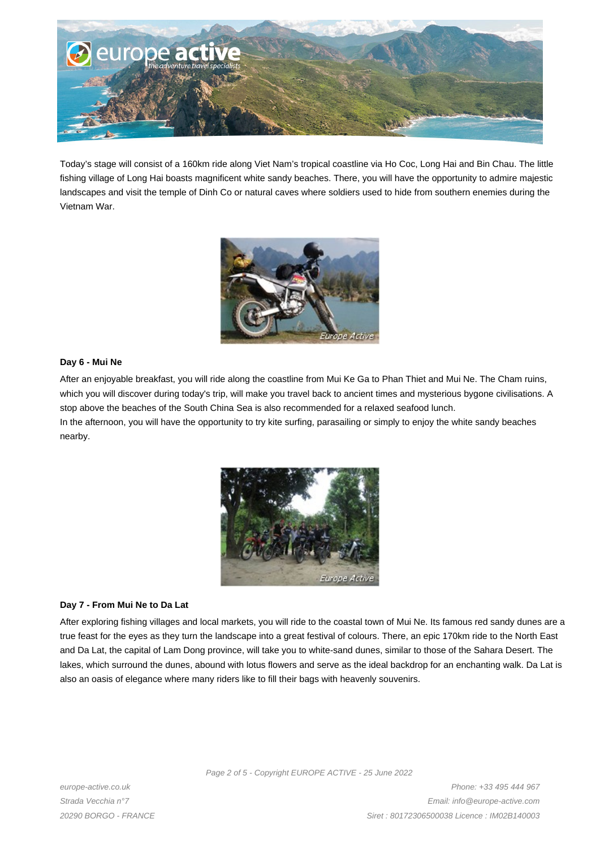

Today's stage will consist of a 160km ride along Viet Nam's tropical coastline via Ho Coc, Long Hai and Bin Chau. The little fishing village of Long Hai boasts magnificent white sandy beaches. There, you will have the opportunity to admire majestic landscapes and visit the temple of Dinh Co or natural caves where soldiers used to hide from southern enemies during the Vietnam War.



# **Day 6 - Mui Ne**

After an enjoyable breakfast, you will ride along the coastline from Mui Ke Ga to Phan Thiet and Mui Ne. The Cham ruins, which you will discover during today's trip, will make you travel back to ancient times and mysterious bygone civilisations. A stop above the beaches of the South China Sea is also recommended for a relaxed seafood lunch.

In the afternoon, you will have the opportunity to try kite surfing, parasailing or simply to enjoy the white sandy beaches nearby.



# **Day 7 - From Mui Ne to Da Lat**

After exploring fishing villages and local markets, you will ride to the coastal town of Mui Ne. Its famous red sandy dunes are a true feast for the eyes as they turn the landscape into a great festival of colours. There, an epic 170km ride to the North East and Da Lat, the capital of Lam Dong province, will take you to white-sand dunes, similar to those of the Sahara Desert. The lakes, which surround the dunes, abound with lotus flowers and serve as the ideal backdrop for an enchanting walk. Da Lat is also an oasis of elegance where many riders like to fill their bags with heavenly souvenirs.

Page 2 of 5 - Copyright EUROPE ACTIVE - 25 June 2022

europe-active.co.uk Strada Vecchia n°7 20290 BORGO - FRANCE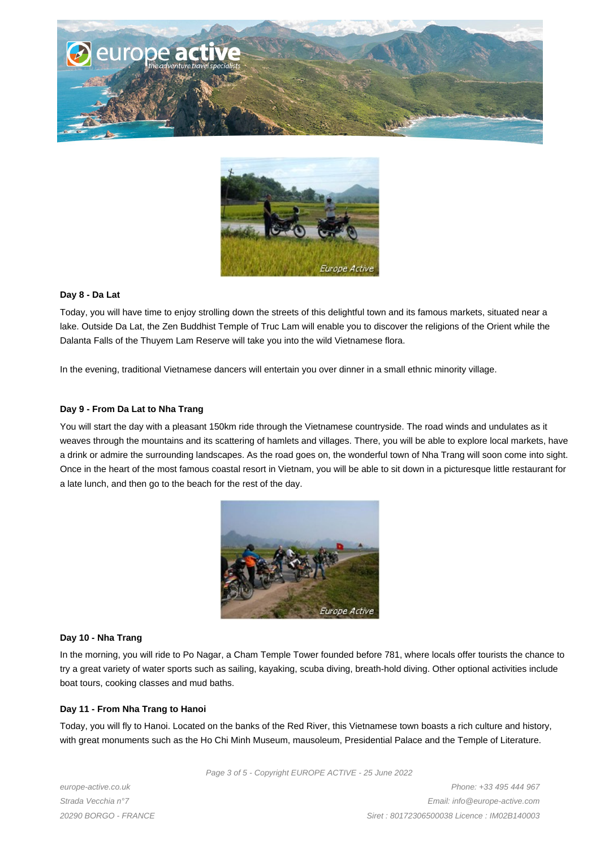



#### **Day 8 - Da Lat**

Today, you will have time to enjoy strolling down the streets of this delightful town and its famous markets, situated near a lake. Outside Da Lat, the Zen Buddhist Temple of Truc Lam will enable you to discover the religions of the Orient while the Dalanta Falls of the Thuyem Lam Reserve will take you into the wild Vietnamese flora.

In the evening, traditional Vietnamese dancers will entertain you over dinner in a small ethnic minority village.

#### **Day 9 - From Da Lat to Nha Trang**

You will start the day with a pleasant 150km ride through the Vietnamese countryside. The road winds and undulates as it weaves through the mountains and its scattering of hamlets and villages. There, you will be able to explore local markets, have a drink or admire the surrounding landscapes. As the road goes on, the wonderful town of Nha Trang will soon come into sight. Once in the heart of the most famous coastal resort in Vietnam, you will be able to sit down in a picturesque little restaurant for a late lunch, and then go to the beach for the rest of the day.



#### **Day 10 - Nha Trang**

In the morning, you will ride to Po Nagar, a Cham Temple Tower founded before 781, where locals offer tourists the chance to try a great variety of water sports such as sailing, kayaking, scuba diving, breath-hold diving. Other optional activities include boat tours, cooking classes and mud baths.

#### **Day 11 - From Nha Trang to Hanoi**

Today, you will fly to Hanoi. Located on the banks of the Red River, this Vietnamese town boasts a rich culture and history, with great monuments such as the Ho Chi Minh Museum, mausoleum, Presidential Palace and the Temple of Literature.

Page 3 of 5 - Copyright EUROPE ACTIVE - 25 June 2022

europe-active.co.uk Strada Vecchia n°7 20290 BORGO - FRANCE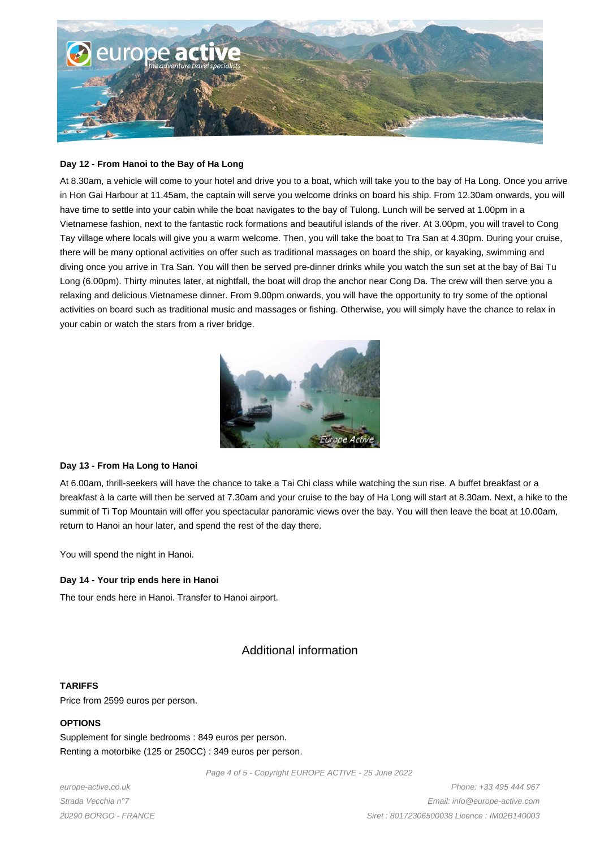

#### **Day 12 - From Hanoi to the Bay of Ha Long**

At 8.30am, a vehicle will come to your hotel and drive you to a boat, which will take you to the bay of Ha Long. Once you arrive in Hon Gai Harbour at 11.45am, the captain will serve you welcome drinks on board his ship. From 12.30am onwards, you will have time to settle into your cabin while the boat navigates to the bay of Tulong. Lunch will be served at 1.00pm in a Vietnamese fashion, next to the fantastic rock formations and beautiful islands of the river. At 3.00pm, you will travel to Cong Tay village where locals will give you a warm welcome. Then, you will take the boat to Tra San at 4.30pm. During your cruise, there will be many optional activities on offer such as traditional massages on board the ship, or kayaking, swimming and diving once you arrive in Tra San. You will then be served pre-dinner drinks while you watch the sun set at the bay of Bai Tu Long (6.00pm). Thirty minutes later, at nightfall, the boat will drop the anchor near Cong Da. The crew will then serve you a relaxing and delicious Vietnamese dinner. From 9.00pm onwards, you will have the opportunity to try some of the optional activities on board such as traditional music and massages or fishing. Otherwise, you will simply have the chance to relax in your cabin or watch the stars from a river bridge.



# **Day 13 - From Ha Long to Hanoi**

At 6.00am, thrill-seekers will have the chance to take a Tai Chi class while watching the sun rise. A buffet breakfast or a breakfast à la carte will then be served at 7.30am and your cruise to the bay of Ha Long will start at 8.30am. Next, a hike to the summit of Ti Top Mountain will offer you spectacular panoramic views over the bay. You will then leave the boat at 10.00am, return to Hanoi an hour later, and spend the rest of the day there.

You will spend the night in Hanoi.

# **Day 14 - Your trip ends here in Hanoi**

The tour ends here in Hanoi. Transfer to Hanoi airport.

# Additional information

# **TARIFFS**

Price from 2599 euros per person.

# **OPTIONS**

Supplement for single bedrooms : 849 euros per person. Renting a motorbike (125 or 250CC) : 349 euros per person.

Page 4 of 5 - Copyright EUROPE ACTIVE - 25 June 2022

europe-active.co.uk Strada Vecchia n°7 20290 BORGO - FRANCE